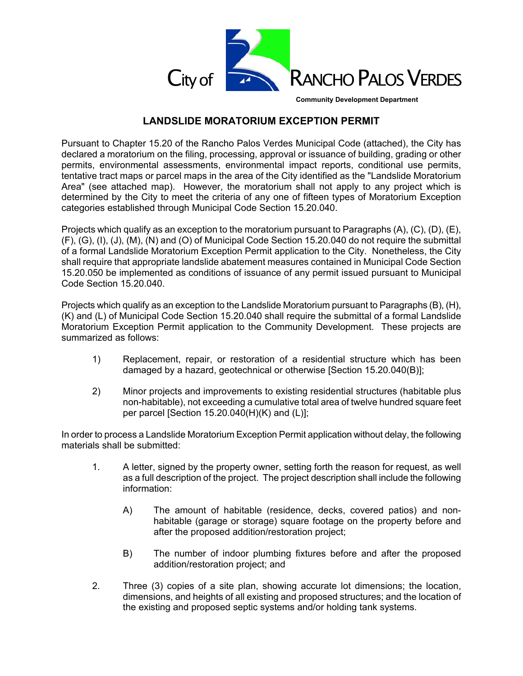

**Community Development Department**

## **LANDSLIDE MORATORIUM EXCEPTION PERMIT**

Pursuant to Chapter 15.20 of the Rancho Palos Verdes Municipal Code (attached), the City has declared a moratorium on the filing, processing, approval or issuance of building, grading or other permits, environmental assessments, environmental impact reports, conditional use permits, tentative tract maps or parcel maps in the area of the City identified as the "Landslide Moratorium Area" (see attached map). However, the moratorium shall not apply to any project which is determined by the City to meet the criteria of any one of fifteen types of Moratorium Exception categories established through Municipal Code Section 15.20.040.

Projects which qualify as an exception to the moratorium pursuant to Paragraphs (A), (C), (D), (E), (F), (G), (I), (J), (M), (N) and (O) of Municipal Code Section 15.20.040 do not require the submittal of a formal Landslide Moratorium Exception Permit application to the City. Nonetheless, the City shall require that appropriate landslide abatement measures contained in Municipal Code Section 15.20.050 be implemented as conditions of issuance of any permit issued pursuant to Municipal Code Section 15.20.040.

Projects which qualify as an exception to the Landslide Moratorium pursuant to Paragraphs (B), (H), (K) and (L) of Municipal Code Section 15.20.040 shall require the submittal of a formal Landslide Moratorium Exception Permit application to the Community Development. These projects are summarized as follows:

- 1) Replacement, repair, or restoration of a residential structure which has been damaged by a hazard, geotechnical or otherwise [Section 15.20.040(B)];
- 2) Minor projects and improvements to existing residential structures (habitable plus non-habitable), not exceeding a cumulative total area of twelve hundred square feet per parcel [Section 15.20.040(H)(K) and (L)];

In order to process a Landslide Moratorium Exception Permit application without delay, the following materials shall be submitted:

- 1. A letter, signed by the property owner, setting forth the reason for request, as well as a full description of the project. The project description shall include the following information:
	- A) The amount of habitable (residence, decks, covered patios) and nonhabitable (garage or storage) square footage on the property before and after the proposed addition/restoration project;
	- B) The number of indoor plumbing fixtures before and after the proposed addition/restoration project; and
- 2. Three (3) copies of a site plan, showing accurate lot dimensions; the location, dimensions, and heights of all existing and proposed structures; and the location of the existing and proposed septic systems and/or holding tank systems.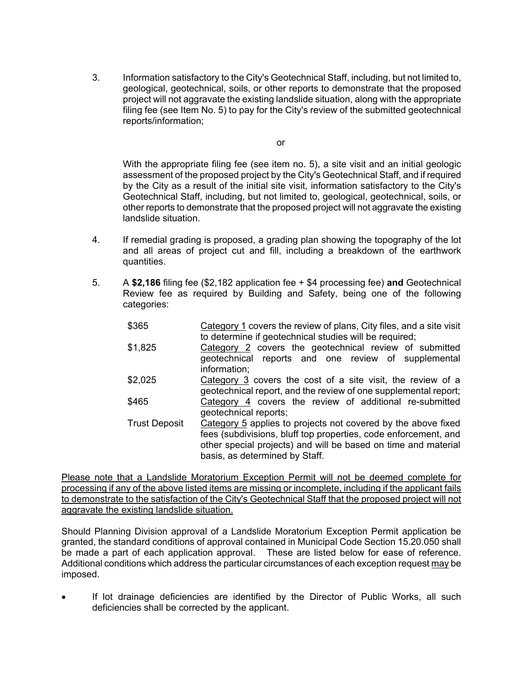3. Information satisfactory to the City's Geotechnical Staff, including, but not limited to, geological, geotechnical, soils, or other reports to demonstrate that the proposed project will not aggravate the existing landslide situation, along with the appropriate filing fee (see Item No. 5) to pay for the City's review of the submitted geotechnical reports/information;

or

With the appropriate filing fee (see item no. 5), a site visit and an initial geologic assessment of the proposed project by the City's Geotechnical Staff, and if required by the City as a result of the initial site visit, information satisfactory to the City's Geotechnical Staff, including, but not limited to, geological, geotechnical, soils, or other reports to demonstrate that the proposed project will not aggravate the existing landslide situation.

- 4. If remedial grading is proposed, a grading plan showing the topography of the lot and all areas of project cut and fill, including a breakdown of the earthwork quantities.
- 5. A **\$2,186** filing fee (\$2,182 application fee + \$4 processing fee) **and** Geotechnical Review fee as required by Building and Safety, being one of the following categories:
	- \$365 Category 1 covers the review of plans, City files, and a site visit to determine if geotechnical studies will be required;
	- \$1,825 Category 2 covers the geotechnical review of submitted geotechnical reports and one review of supplemental information;
	- \$2,025 Category 3 covers the cost of a site visit, the review of a geotechnical report, and the review of one supplemental report; \$465 Category 4 covers the review of additional re-submitted geotechnical reports;
	- Trust Deposit Category 5 applies to projects not covered by the above fixed fees (subdivisions, bluff top properties, code enforcement, and other special projects) and will be based on time and material basis, as determined by Staff.

Please note that a Landslide Moratorium Exception Permit will not be deemed complete for processing if any of the above listed items are missing or incomplete, including if the applicant fails to demonstrate to the satisfaction of the City's Geotechnical Staff that the proposed project will not aggravate the existing landslide situation.

Should Planning Division approval of a Landslide Moratorium Exception Permit application be granted, the standard conditions of approval contained in Municipal Code Section 15.20.050 shall be made a part of each application approval. These are listed below for ease of reference. Additional conditions which address the particular circumstances of each exception request may be imposed.

 If lot drainage deficiencies are identified by the Director of Public Works, all such deficiencies shall be corrected by the applicant.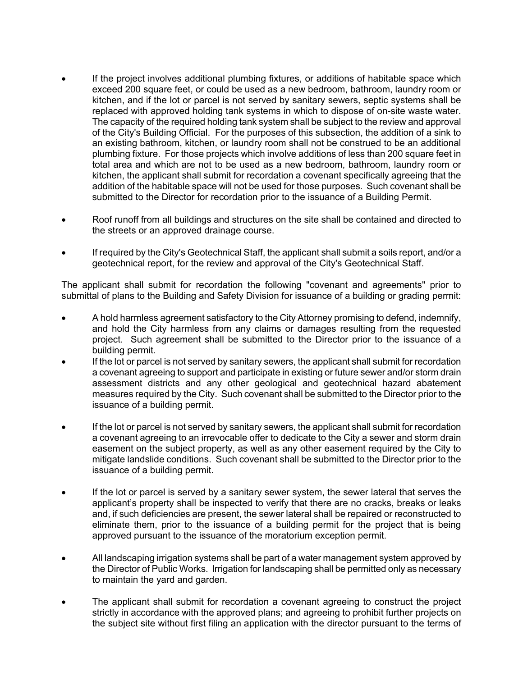- If the project involves additional plumbing fixtures, or additions of habitable space which exceed 200 square feet, or could be used as a new bedroom, bathroom, laundry room or kitchen, and if the lot or parcel is not served by sanitary sewers, septic systems shall be replaced with approved holding tank systems in which to dispose of on-site waste water. The capacity of the required holding tank system shall be subject to the review and approval of the City's Building Official. For the purposes of this subsection, the addition of a sink to an existing bathroom, kitchen, or laundry room shall not be construed to be an additional plumbing fixture. For those projects which involve additions of less than 200 square feet in total area and which are not to be used as a new bedroom, bathroom, laundry room or kitchen, the applicant shall submit for recordation a covenant specifically agreeing that the addition of the habitable space will not be used for those purposes. Such covenant shall be submitted to the Director for recordation prior to the issuance of a Building Permit.
- Roof runoff from all buildings and structures on the site shall be contained and directed to the streets or an approved drainage course.
- If required by the City's Geotechnical Staff, the applicant shall submit a soils report, and/or a geotechnical report, for the review and approval of the City's Geotechnical Staff.

The applicant shall submit for recordation the following "covenant and agreements" prior to submittal of plans to the Building and Safety Division for issuance of a building or grading permit:

- A hold harmless agreement satisfactory to the City Attorney promising to defend, indemnify, and hold the City harmless from any claims or damages resulting from the requested project. Such agreement shall be submitted to the Director prior to the issuance of a building permit.
- If the lot or parcel is not served by sanitary sewers, the applicant shall submit for recordation a covenant agreeing to support and participate in existing or future sewer and/or storm drain assessment districts and any other geological and geotechnical hazard abatement measures required by the City. Such covenant shall be submitted to the Director prior to the issuance of a building permit.
- If the lot or parcel is not served by sanitary sewers, the applicant shall submit for recordation a covenant agreeing to an irrevocable offer to dedicate to the City a sewer and storm drain easement on the subject property, as well as any other easement required by the City to mitigate landslide conditions. Such covenant shall be submitted to the Director prior to the issuance of a building permit.
- If the lot or parcel is served by a sanitary sewer system, the sewer lateral that serves the applicant's property shall be inspected to verify that there are no cracks, breaks or leaks and, if such deficiencies are present, the sewer lateral shall be repaired or reconstructed to eliminate them, prior to the issuance of a building permit for the project that is being approved pursuant to the issuance of the moratorium exception permit.
- All landscaping irrigation systems shall be part of a water management system approved by the Director of Public Works. Irrigation for landscaping shall be permitted only as necessary to maintain the yard and garden.
- The applicant shall submit for recordation a covenant agreeing to construct the project strictly in accordance with the approved plans; and agreeing to prohibit further projects on the subject site without first filing an application with the director pursuant to the terms of